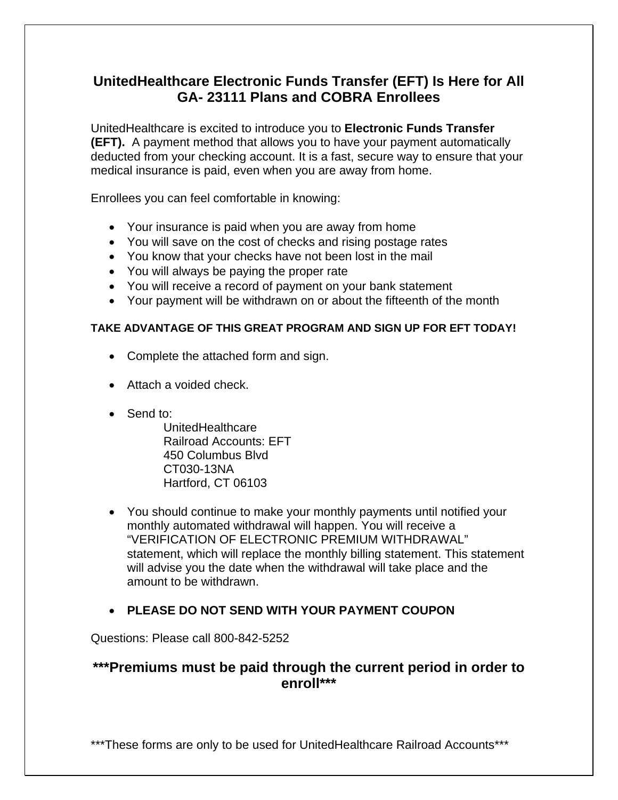# **UnitedHealthcare Electronic Funds Transfer (EFT) Is Here for All GA- 23111 Plans and COBRA Enrollees**

UnitedHealthcare is excited to introduce you to **Electronic Funds Transfer (EFT).** A payment method that allows you to have your payment automatically deducted from your checking account. It is a fast, secure way to ensure that your medical insurance is paid, even when you are away from home.

Enrollees you can feel comfortable in knowing:

- Your insurance is paid when you are away from home
- You will save on the cost of checks and rising postage rates
- You know that your checks have not been lost in the mail
- You will always be paying the proper rate
- You will receive a record of payment on your bank statement
- Your payment will be withdrawn on or about the fifteenth of the month

### **TAKE ADVANTAGE OF THIS GREAT PROGRAM AND SIGN UP FOR EFT TODAY!**

- Complete the attached form and sign.
- Attach a voided check.
- Send to:

 UnitedHealthcare Railroad Accounts: EFT 450 Columbus Blvd CT030-13NA Hartford, CT 06103

- You should continue to make your monthly payments until notified your monthly automated withdrawal will happen. You will receive a "VERIFICATION OF ELECTRONIC PREMIUM WITHDRAWAL" statement, which will replace the monthly billing statement. This statement will advise you the date when the withdrawal will take place and the amount to be withdrawn.
- **PLEASE DO NOT SEND WITH YOUR PAYMENT COUPON**

Questions: Please call 800-842-5252

## **\*\*\*Premiums must be paid through the current period in order to enroll\*\*\***

\*\*\*These forms are only to be used for UnitedHealthcare Railroad Accounts\*\*\*